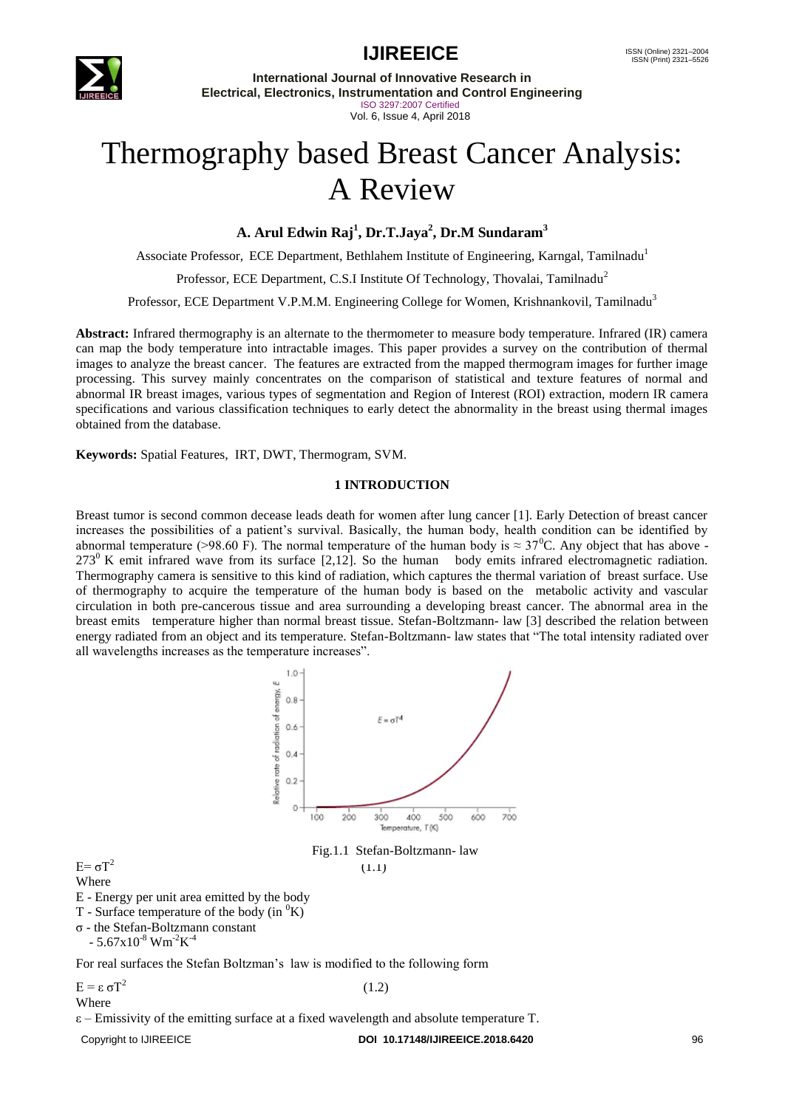

**International Journal of Innovative Research in Electrical, Electronics, Instrumentation and Control Engineering** ISO 3297:2007 Certified Vol. 6, Issue 4, April 2018

# Thermography based Breast Cancer Analysis: A Review

**A. Arul Edwin Raj<sup>1</sup> , Dr.T.Jaya<sup>2</sup> , Dr.M Sundaram<sup>3</sup>**

Associate Professor, ECE Department, Bethlahem Institute of Engineering, Karngal, Tamilnadu<sup>1</sup>

Professor, ECE Department, C.S.I Institute Of Technology, Thovalai, Tamilnadu<sup>2</sup>

Professor, ECE Department V.P.M.M. Engineering College for Women, Krishnankovil, Tamilnadu<sup>3</sup>

**Abstract:** Infrared thermography is an alternate to the thermometer to measure body temperature. Infrared (IR) camera can map the body temperature into intractable images. This paper provides a survey on the contribution of thermal images to analyze the breast cancer. The features are extracted from the mapped thermogram images for further image processing. This survey mainly concentrates on the comparison of statistical and texture features of normal and abnormal IR breast images, various types of segmentation and Region of Interest (ROI) extraction, modern IR camera specifications and various classification techniques to early detect the abnormality in the breast using thermal images obtained from the database.

**Keywords:** Spatial Features, IRT, DWT, Thermogram, SVM.

#### **1 INTRODUCTION**

Breast tumor is second common decease leads death for women after lung cancer [1]. Early Detection of breast cancer increases the possibilities of a patient's survival. Basically, the human body, health condition can be identified by abnormal temperature (>98.60 F). The normal temperature of the human body is  $\approx 37^{\circ}$ C. Any object that has above - $273^{\circ}$  K emit infrared wave from its surface [2,12]. So the human body emits infrared electromagnetic radiation. Thermography camera is sensitive to this kind of radiation, which captures the thermal variation of breast surface. Use of thermography to acquire the temperature of the human body is based on the metabolic activity and vascular circulation in both pre-cancerous tissue and area surrounding a developing breast cancer. The abnormal area in the breast emits temperature higher than normal breast tissue. Stefan-Boltzmann- law [3] described the relation between energy radiated from an object and its temperature. Stefan-Boltzmann- law states that "The total [intensity](https://en.wikipedia.org/wiki/Intensity_(physics)) radiated over all wavelengths increases as the temperature increases".



 $E = ε σT^2$ Where

 $E = σT^2$ 

Where

 $\varepsilon$  – Emissivity of the emitting surface at a fixed wavelength and absolute temperature T.

Copyright to IJIREEICE **DOI 10.17148/IJIREEICE.2018.6420** 96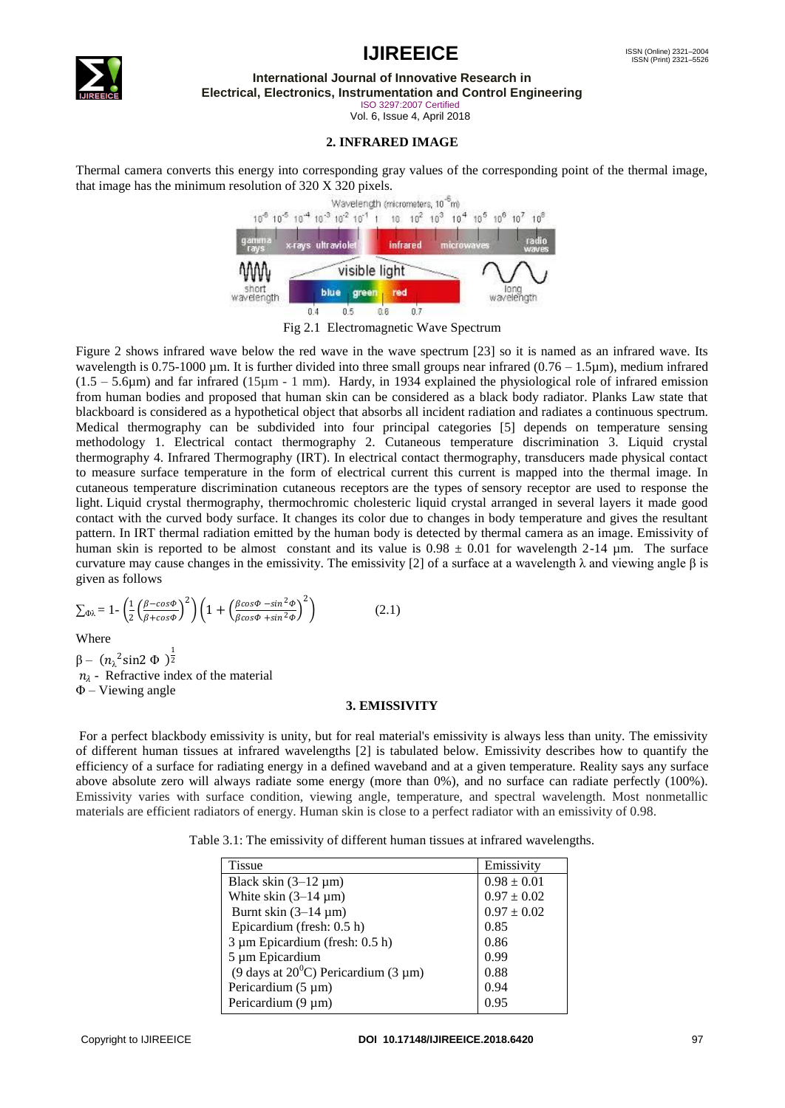



**International Journal of Innovative Research in Electrical, Electronics, Instrumentation and Control Engineering**

ISO 3297:2007 Certified

Vol. 6, Issue 4, April 2018

#### **2. INFRARED IMAGE**

Thermal camera converts this energy into corresponding gray values of the corresponding point of the thermal image, that image has the minimum resolution of 320 X 320 pixels.



Fig 2.1 Electromagnetic Wave Spectrum

Figure 2 shows infrared wave below the red wave in the wave spectrum [23] so it is named as an infrared wave. Its wavelength is 0.75-1000  $\mu$ m. It is further divided into three small groups near infrared (0.76 – 1.5 $\mu$ m), medium infrared  $(1.5 - 5.6\mu m)$  and far infrared  $(15\mu m - 1\mu)$ . Hardy, in 1934 explained the physiological role of infrared emission from human bodies and proposed that human skin can be considered as a black body radiator. Planks Law state that blackboard is considered as a hypothetical object that absorbs all incident radiation and radiates a continuous spectrum. Medical thermography can be subdivided into four principal categories [5] depends on temperature sensing methodology 1. Electrical contact thermography 2. Cutaneous temperature discrimination 3. Liquid crystal thermography 4. Infrared Thermography (IRT). In electrical contact thermography, transducers made physical contact to measure surface temperature in the form of electrical current this current is mapped into the thermal image. In cutaneous temperature discrimination cutaneous receptors are the types of [sensory receptor](https://en.wikipedia.org/wiki/Sensory_receptor) are used to response the light. Liquid crystal thermography, thermochromic cholesteric liquid crystal arranged in several layers it made good contact with the curved body surface. It changes its color due to changes in body temperature and gives the resultant pattern. In IRT thermal radiation emitted by the human body is detected by thermal camera as an image. Emissivity of human skin is reported to be almost constant and its value is  $0.98 \pm 0.01$  for wavelength 2-14  $\mu$ m. The surface curvature may cause changes in the emissivity. The emissivity [2] of a surface at a wavelength λ and viewing angle β is given as follows

$$
\sum_{\Phi\lambda} = 1 - \left(\frac{1}{2} \left(\frac{\beta - \cos\Phi}{\beta + \cos\Phi}\right)^2\right) \left(1 + \left(\frac{\beta\cos\Phi - \sin^2\Phi}{\beta\cos\Phi + \sin^2\Phi}\right)^2\right) \tag{2.1}
$$

Where

 $\beta - (n_{\lambda}^2 \sin^2 \Phi)^{\frac{1}{2}}$  $n_{\lambda}$  - Refractive index of the material Φ – Viewing angle

#### **3. EMISSIVITY**

For a perfect blackbody emissivity is unity, but for real material's emissivity is always less than unity. The emissivity of different human tissues at infrared wavelengths [2] is tabulated below. Emissivity describes how to quantify the efficiency of a surface for radiating energy in a defined waveband and at a given temperature. Reality says any surface above absolute zero will always radiate some energy (more than 0%), and no surface can radiate perfectly (100%). Emissivity varies with surface condition, viewing angle, temperature, and spectral wavelength. Most nonmetallic materials are efficient radiators of energy. Human skin is close to a perfect radiator with an emissivity of 0.98.

Table 3.1: The emissivity of different human tissues at infrared wavelengths.

| <b>Tissue</b>                                 | Emissivity      |
|-----------------------------------------------|-----------------|
| Black skin $(3-12 \mu m)$                     | $0.98 \pm 0.01$ |
| White skin $(3-14 \mu m)$                     | $0.97 \pm 0.02$ |
| Burnt skin $(3-14 \mu m)$                     | $0.97 \pm 0.02$ |
| Epicardium (fresh: 0.5 h)                     | 0.85            |
| 3 µm Epicardium (fresh: 0.5 h)                | 0.86            |
| 5 µm Epicardium                               | 0.99            |
| (9 days at $20^{\circ}$ C) Pericardium (3 µm) | 0.88            |
| Pericardium $(5 \mu m)$                       | 0.94            |
| Pericardium (9 µm)                            | 0.95            |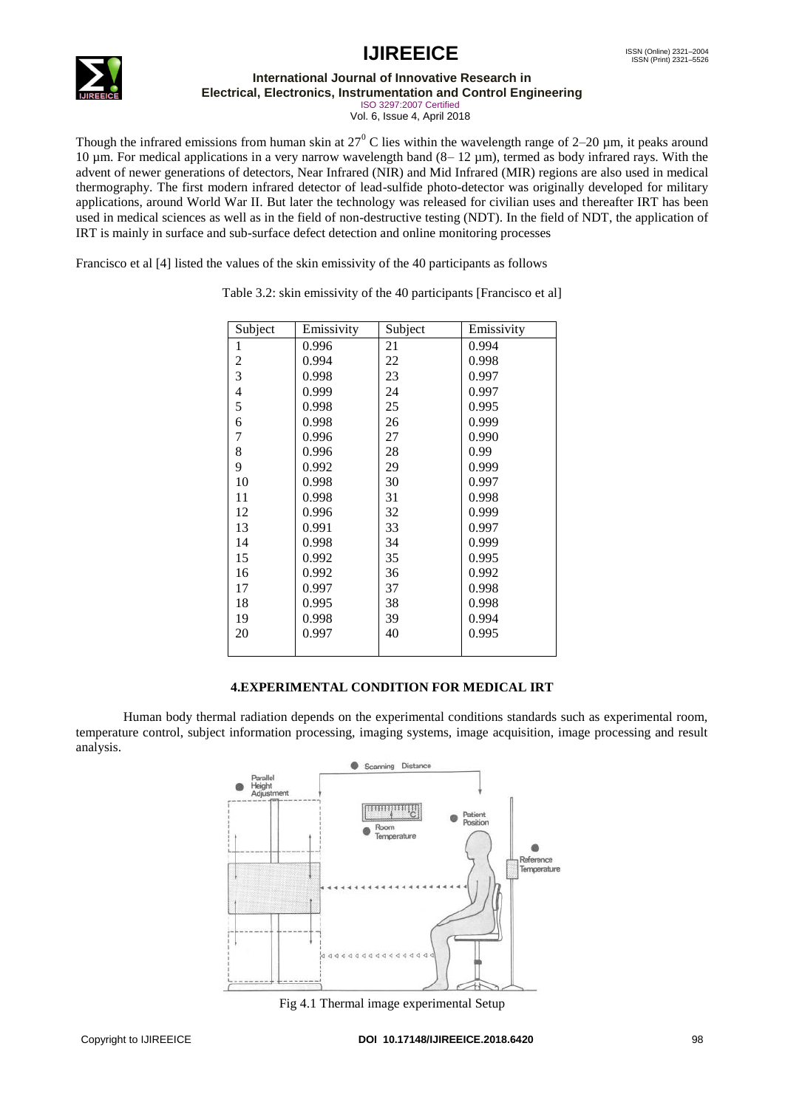

**International Journal of Innovative Research in**

**Electrical, Electronics, Instrumentation and Control Engineering**

ISO 3297:2007 Certified Vol. 6, Issue 4, April 2018

Though the infrared emissions from human skin at  $27^{\circ}$  C lies within the wavelength range of 2–20 µm, it peaks around 10 µm. For medical applications in a very narrow wavelength band (8– 12 µm), termed as body infrared rays. With the advent of newer generations of detectors, Near Infrared (NIR) and Mid Infrared (MIR) regions are also used in medical thermography. The first modern infrared detector of lead-sulfide photo-detector was originally developed for military applications, around World War II. But later the technology was released for civilian uses and thereafter IRT has been used in medical sciences as well as in the field of non-destructive testing (NDT). In the field of NDT, the application of IRT is mainly in surface and sub-surface defect detection and online monitoring processes

Francisco et al [4] listed the values of the skin emissivity of the 40 participants as follows

| Subject        | Emissivity | Subject | Emissivity |
|----------------|------------|---------|------------|
| 1              | 0.996      | 21      | 0.994      |
| $\overline{c}$ | 0.994      | 22      | 0.998      |
| 3              | 0.998      | 23      | 0.997      |
| $\overline{4}$ | 0.999      | 24      | 0.997      |
| 5              | 0.998      | 25      | 0.995      |
| 6              | 0.998      | 26      | 0.999      |
| $\overline{7}$ | 0.996      | 27      | 0.990      |
| 8              | 0.996      | 28      | 0.99       |
| 9              | 0.992      | 29      | 0.999      |
| 10             | 0.998      | 30      | 0.997      |
| 11             | 0.998      | 31      | 0.998      |
| 12             | 0.996      | 32      | 0.999      |
| 13             | 0.991      | 33      | 0.997      |
| 14             | 0.998      | 34      | 0.999      |
| 15             | 0.992      | 35      | 0.995      |
| 16             | 0.992      | 36      | 0.992      |
| 17             | 0.997      | 37      | 0.998      |
| 18             | 0.995      | 38      | 0.998      |
| 19             | 0.998      | 39      | 0.994      |
| 20             | 0.997      | 40      | 0.995      |
|                |            |         |            |

Table 3.2: skin emissivity of the 40 participants [Francisco et al]

# **4.EXPERIMENTAL CONDITION FOR MEDICAL IRT**

Human body thermal radiation depends on the experimental conditions standards such as experimental room, temperature control, subject information processing, imaging systems, image acquisition, image processing and result analysis.



Fig 4.1 Thermal image experimental Setup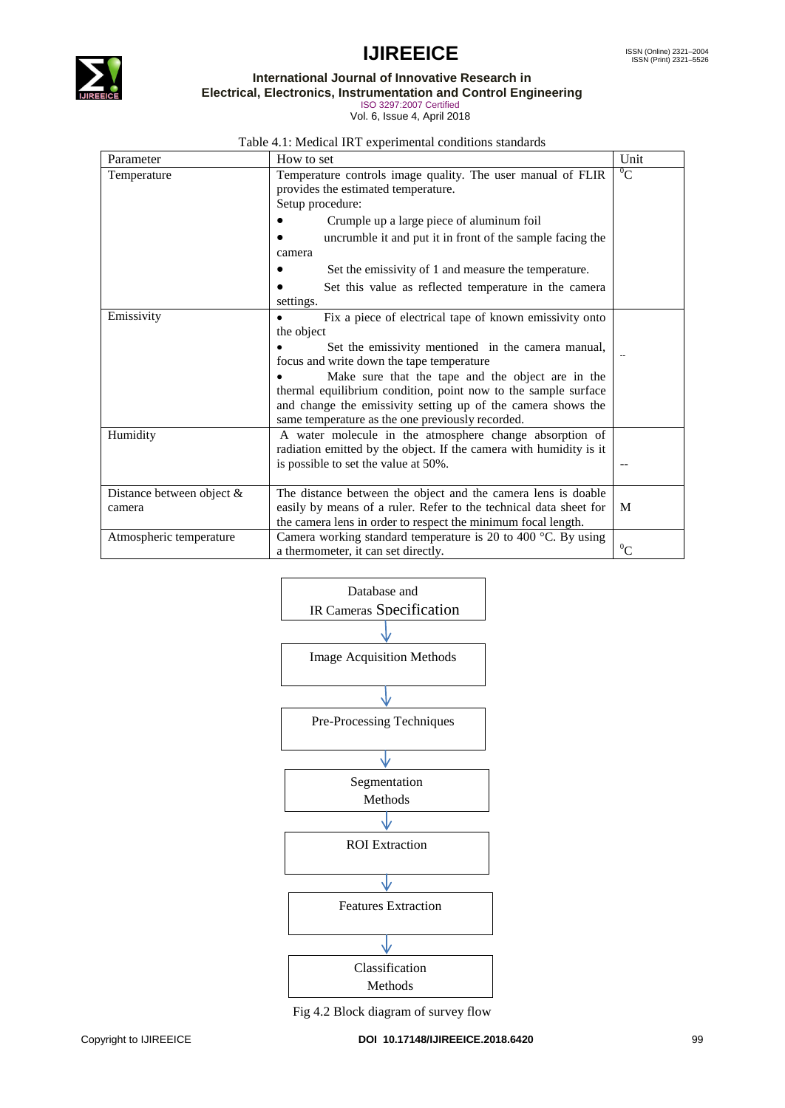

**International Journal of Innovative Research in**

**Electrical, Electronics, Instrumentation and Control Engineering**

ISO 3297:2007 Certified Vol. 6, Issue 4, April 2018

Table 4.1: Medical IRT experimental conditions standards

| Parameter                 | Unit<br>How to set                                                      |           |  |
|---------------------------|-------------------------------------------------------------------------|-----------|--|
| Temperature               | Temperature controls image quality. The user manual of FLIR             | ${}^0C$   |  |
|                           | provides the estimated temperature.                                     |           |  |
|                           | Setup procedure:                                                        |           |  |
|                           | Crumple up a large piece of aluminum foil                               |           |  |
|                           | uncrumble it and put it in front of the sample facing the               |           |  |
|                           | camera                                                                  |           |  |
|                           | Set the emissivity of 1 and measure the temperature.                    |           |  |
|                           | Set this value as reflected temperature in the camera                   |           |  |
|                           | settings.                                                               |           |  |
| Emissivity                | Fix a piece of electrical tape of known emissivity onto                 |           |  |
|                           | the object                                                              |           |  |
|                           | Set the emissivity mentioned in the camera manual,                      |           |  |
|                           | focus and write down the tape temperature                               |           |  |
|                           | Make sure that the tape and the object are in the                       |           |  |
|                           | thermal equilibrium condition, point now to the sample surface          |           |  |
|                           | and change the emissivity setting up of the camera shows the            |           |  |
|                           | same temperature as the one previously recorded.                        |           |  |
| Humidity                  | A water molecule in the atmosphere change absorption of                 |           |  |
|                           | radiation emitted by the object. If the camera with humidity is it      |           |  |
|                           | is possible to set the value at 50%.                                    |           |  |
|                           |                                                                         |           |  |
| Distance between object & | The distance between the object and the camera lens is doable           |           |  |
| camera                    | easily by means of a ruler. Refer to the technical data sheet for       | M         |  |
|                           | the camera lens in order to respect the minimum focal length.           |           |  |
| Atmospheric temperature   | Camera working standard temperature is 20 to 400 $^{\circ}$ C. By using |           |  |
|                           | a thermometer, it can set directly.                                     | ${}^{0}C$ |  |



Fig 4.2 Block diagram of survey flow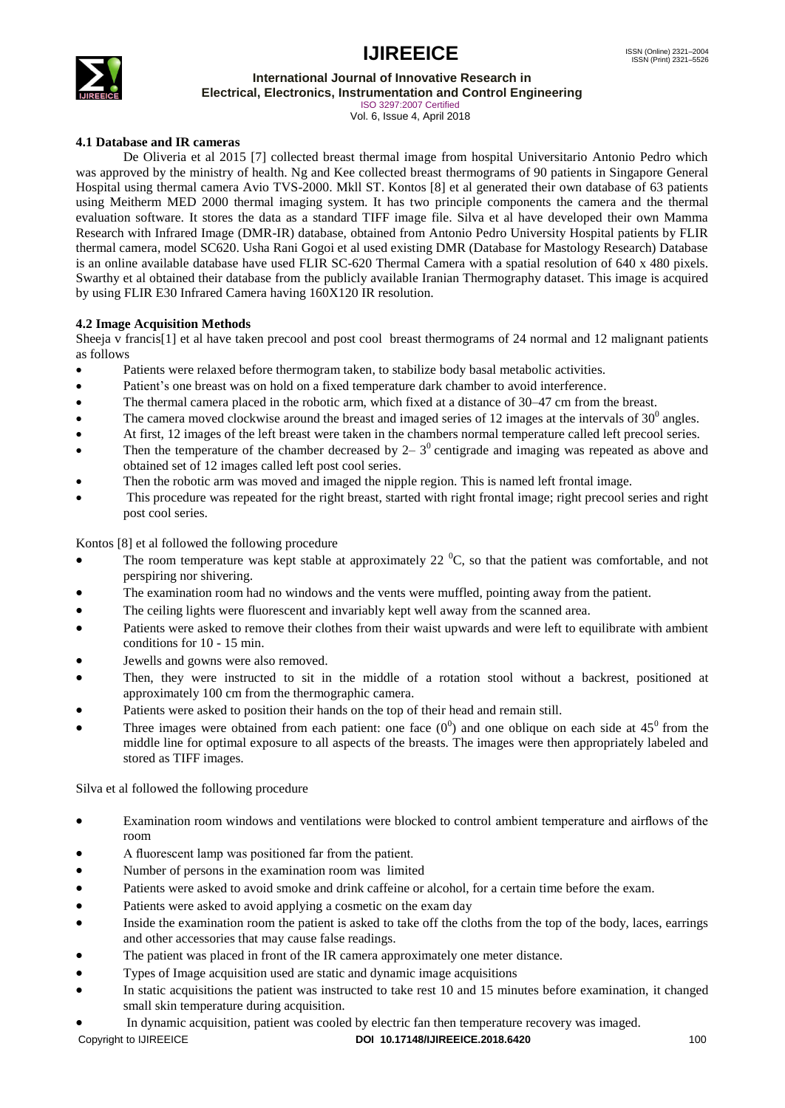

**International Journal of Innovative Research in**

**Electrical, Electronics, Instrumentation and Control Engineering**

ISO 3297:2007 Certified Vol. 6, Issue 4, April 2018

### **4.1 Database and IR cameras**

De Oliveria et al 2015 [7] collected breast thermal image from hospital Universitario Antonio Pedro which was approved by the ministry of health. Ng and Kee collected breast thermograms of 90 patients in Singapore General Hospital using thermal camera Avio TVS-2000. Mkll ST. Kontos [8] et al generated their own database of 63 patients using Meitherm MED 2000 thermal imaging system. It has two principle components the camera and the thermal evaluation software. It stores the data as a standard TIFF image file. Silva et al have developed their own Mamma Research with Infrared Image (DMR-IR) database, obtained from Antonio Pedro University Hospital patients by FLIR thermal camera, model SC620. Usha Rani Gogoi et al used existing DMR (Database for Mastology Research) Database is an online available database have used FLIR SC-620 Thermal Camera with a spatial resolution of 640 x 480 pixels. Swarthy et al obtained their database from the publicly available Iranian Thermography dataset. This image is acquired by using FLIR E30 Infrared Camera having 160X120 IR resolution.

### **4.2 Image Acquisition Methods**

Sheeja v francis[1] et al have taken precool and post cool breast thermograms of 24 normal and 12 malignant patients as follows

- Patients were relaxed before thermogram taken, to stabilize body basal metabolic activities.
- Patient's one breast was on hold on a fixed temperature dark chamber to avoid interference.
- The thermal camera placed in the robotic arm, which fixed at a distance of 30–47 cm from the breast.
- The camera moved clockwise around the breast and imaged series of 12 images at the intervals of  $30^0$  angles.
- At first, 12 images of the left breast were taken in the chambers normal temperature called left precool series.
- Then the temperature of the chamber decreased by  $2-3^0$  centigrade and imaging was repeated as above and obtained set of 12 images called left post cool series.
- Then the robotic arm was moved and imaged the nipple region. This is named left frontal image.
- This procedure was repeated for the right breast, started with right frontal image; right precool series and right post cool series.

Kontos [8] et al followed the following procedure

- The room temperature was kept stable at approximately 22 $^{\circ}$ C, so that the patient was comfortable, and not perspiring nor shivering.
- The examination room had no windows and the vents were muffled, pointing away from the patient.
- The ceiling lights were fluorescent and invariably kept well away from the scanned area.
- Patients were asked to remove their clothes from their waist upwards and were left to equilibrate with ambient conditions for 10 - 15 min.
- Jewells and gowns were also removed.
- Then, they were instructed to sit in the middle of a rotation stool without a backrest, positioned at approximately 100 cm from the thermographic camera.
- Patients were asked to position their hands on the top of their head and remain still.
- Three images were obtained from each patient: one face  $(0^0)$  and one oblique on each side at 45<sup>0</sup> from the middle line for optimal exposure to all aspects of the breasts. The images were then appropriately labeled and stored as TIFF images.

Silva et al followed the following procedure

- Examination room windows and ventilations were blocked to control ambient temperature and airflows of the room
- A fluorescent lamp was positioned far from the patient.
- Number of persons in the examination room was limited
- Patients were asked to avoid smoke and drink caffeine or alcohol, for a certain time before the exam.
- Patients were asked to avoid applying a cosmetic on the exam day
- Inside the examination room the patient is asked to take off the cloths from the top of the body, laces, earrings and other accessories that may cause false readings.
- The patient was placed in front of the IR camera approximately one meter distance.
- Types of Image acquisition used are static and dynamic image acquisitions
- In static acquisitions the patient was instructed to take rest 10 and 15 minutes before examination, it changed small skin temperature during acquisition.
- Copyright to IJIREEICE **DOI 10.17148/IJIREEICE.2018.6420** 100 In dynamic acquisition, patient was cooled by electric fan then temperature recovery was imaged.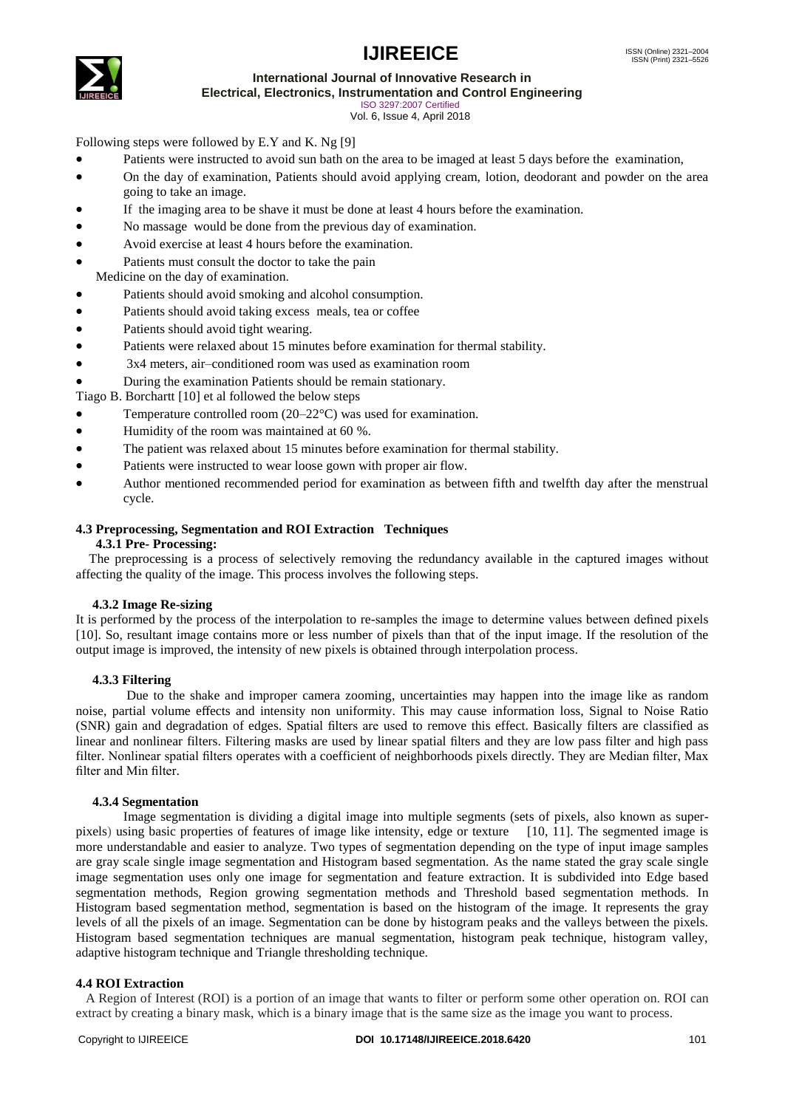# **IJIREEICE**



**International Journal of Innovative Research in**

**Electrical, Electronics, Instrumentation and Control Engineering**

ISO 3297:2007 Certified Vol. 6, Issue 4, April 2018

Following steps were followed by E.Y and K. Ng [9]

- Patients were instructed to avoid sun bath on the area to be imaged at least 5 days before the examination,
- On the day of examination, Patients should avoid applying cream, lotion, deodorant and powder on the area going to take an image.
- If the imaging area to be shave it must be done at least 4 hours before the examination.
- No massage would be done from the previous day of examination.
- Avoid exercise at least 4 hours before the examination.
- Patients must consult the doctor to take the pain Medicine on the day of examination.
- Patients should avoid smoking and alcohol consumption.
- Patients should avoid taking excess meals, tea or coffee
- Patients should avoid tight wearing.
- Patients were relaxed about 15 minutes before examination for thermal stability.
- 3x4 meters, air–conditioned room was used as examination room
- During the examination Patients should be remain stationary.

Tiago B. Borchartt [10] et al followed the below steps

- Temperature controlled room  $(20-22^{\circ}C)$  was used for examination.
- Humidity of the room was maintained at 60 %.
- The patient was relaxed about 15 minutes before examination for thermal stability.
- Patients were instructed to wear loose gown with proper air flow.
- Author mentioned recommended period for examination as between fifth and twelfth day after the menstrual cycle.

### **4.3 Preprocessing, Segmentation and ROI Extraction Techniques**

# **4.3.1 Pre- Processing:**

 The preprocessing is a process of selectively removing the redundancy available in the captured images without affecting the quality of the image. This process involves the following steps.

#### **4.3.2 Image Re-sizing**

It is performed by the process of the interpolation to re-samples the image to determine values between defined pixels [10]. So, resultant image contains more or less number of pixels than that of the input image. If the resolution of the output image is improved, the intensity of new pixels is obtained through interpolation process.

#### **4.3.3 Filtering**

Due to the shake and improper camera zooming, uncertainties may happen into the image like as random noise, partial volume effects and intensity non uniformity. This may cause information loss, Signal to Noise Ratio (SNR) gain and degradation of edges. Spatial filters are used to remove this effect. Basically filters are classified as linear and nonlinear filters. Filtering masks are used by linear spatial filters and they are low pass filter and high pass filter. Nonlinear spatial filters operates with a coefficient of neighborhoods pixels directly. They are Median filter, Max filter and Min filter.

#### **4.3.4 Segmentation**

Image segmentation is dividing a digital image into multiple segments (sets of pixels, also known as superpixels) using basic properties of features of image like intensity, edge or texture [10, 11]. The segmented image is more understandable and easier to analyze. Two types of segmentation depending on the type of input image samples are gray scale single image segmentation and Histogram based segmentation. As the name stated the gray scale single image segmentation uses only one image for segmentation and feature extraction. It is subdivided into Edge based segmentation methods, Region growing segmentation methods and Threshold based segmentation methods. In Histogram based segmentation method, segmentation is based on the histogram of the image. It represents the gray levels of all the pixels of an image. Segmentation can be done by histogram peaks and the valleys between the pixels. Histogram based segmentation techniques are manual segmentation, histogram peak technique, histogram valley, adaptive histogram technique and Triangle thresholding technique.

#### **4.4 ROI Extraction**

 A Region of Interest (ROI) is a portion of an image that wants to filter or perform some other operation on. ROI can extract by creating a binary mask, which is a binary image that is the same size as the image you want to process.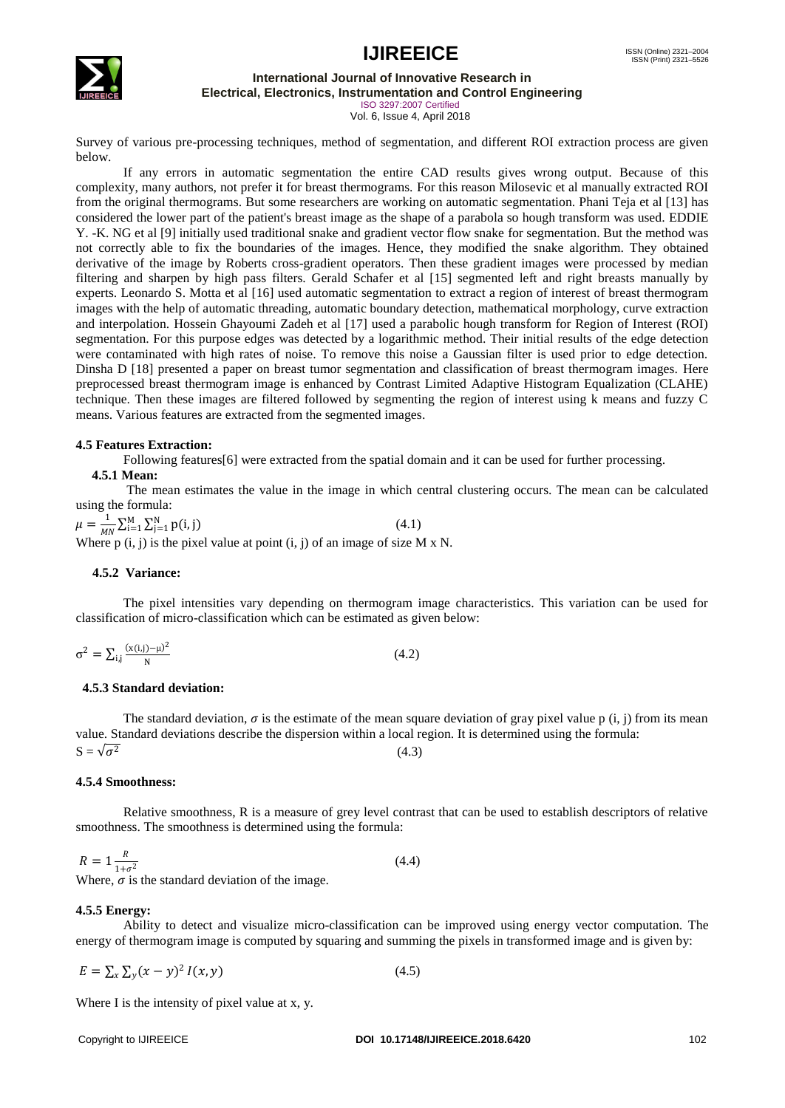

# **International Journal of Innovative Research in**

**Electrical, Electronics, Instrumentation and Control Engineering**

ISO 3297:2007 Certified Vol. 6, Issue 4, April 2018

Survey of various pre-processing techniques, method of segmentation, and different ROI extraction process are given below.

If any errors in automatic segmentation the entire CAD results gives wrong output. Because of this complexity, many authors, not prefer it for breast thermograms. For this reason Milosevic et al manually extracted ROI from the original thermograms. But some researchers are working on automatic segmentation. Phani Teja et al [13] has considered the lower part of the patient's breast image as the shape of a parabola so hough transform was used. EDDIE Y. -K. NG et al [9] initially used traditional snake and gradient vector flow snake for segmentation. But the method was not correctly able to fix the boundaries of the images. Hence, they modified the snake algorithm. They obtained derivative of the image by Roberts cross-gradient operators. Then these gradient images were processed by median filtering and sharpen by high pass filters. Gerald Schafer et al [15] segmented left and right breasts manually by experts. Leonardo S. Motta et al [16] used automatic segmentation to extract a region of interest of breast thermogram images with the help of automatic threading, automatic boundary detection, mathematical morphology, curve extraction and interpolation. Hossein Ghayoumi Zadeh et al [17] used a parabolic hough transform for Region of Interest (ROI) segmentation. For this purpose edges was detected by a logarithmic method. Their initial results of the edge detection were contaminated with high rates of noise. To remove this noise a Gaussian filter is used prior to edge detection. Dinsha D [18] presented a paper on breast tumor segmentation and classification of breast thermogram images. Here preprocessed breast thermogram image is enhanced by Contrast Limited Adaptive Histogram Equalization (CLAHE) technique. Then these images are filtered followed by segmenting the region of interest using k means and fuzzy C means. Various features are extracted from the segmented images.

#### **4.5 Features Extraction:**

Following features[6] were extracted from the spatial domain and it can be used for further processing.

### **4.5.1 Mean:**

The mean estimates the value in the image in which central clustering occurs. The mean can be calculated using the formula:

 $\mu = \frac{1}{16}$  $\frac{1}{MN}\sum_{i=1}^{M}\sum_{j=1}^{N}p(i,j)$  (4.1) Where  $p(i, j)$  is the pixel value at point  $(i, j)$  of an image of size M x N.

#### **4.5.2 Variance:**

The pixel intensities vary depending on thermogram image characteristics. This variation can be used for classification of micro-classification which can be estimated as given below:

$$
\sigma^2 = \sum_{i,j} \frac{(x(i,j) - \mu)^2}{N} \tag{4.2}
$$

#### **4.5.3 Standard deviation:**

The standard deviation,  $\sigma$  is the estimate of the mean square deviation of gray pixel value p (i, j) from its mean value. Standard deviations describe the dispersion within a local region. It is determined using the formula:  $S=\sqrt{\sigma^2}$  $(4.3)$ 

#### **4.5.4 Smoothness:**

Relative smoothness, R is a measure of grey level contrast that can be used to establish descriptors of relative smoothness. The smoothness is determined using the formula:

$$
R = 1 \frac{R}{1 + \sigma^2}
$$
\n(4.4)

Where,  $\sigma$  is the standard deviation of the image.

#### **4.5.5 Energy:**

Ability to detect and visualize micro-classification can be improved using energy vector computation. The energy of thermogram image is computed by squaring and summing the pixels in transformed image and is given by:

 $E = \sum_{x} \sum_{y} (x - y)^2 I(x, y)$  (4.5)

Where I is the intensity of pixel value at x, y.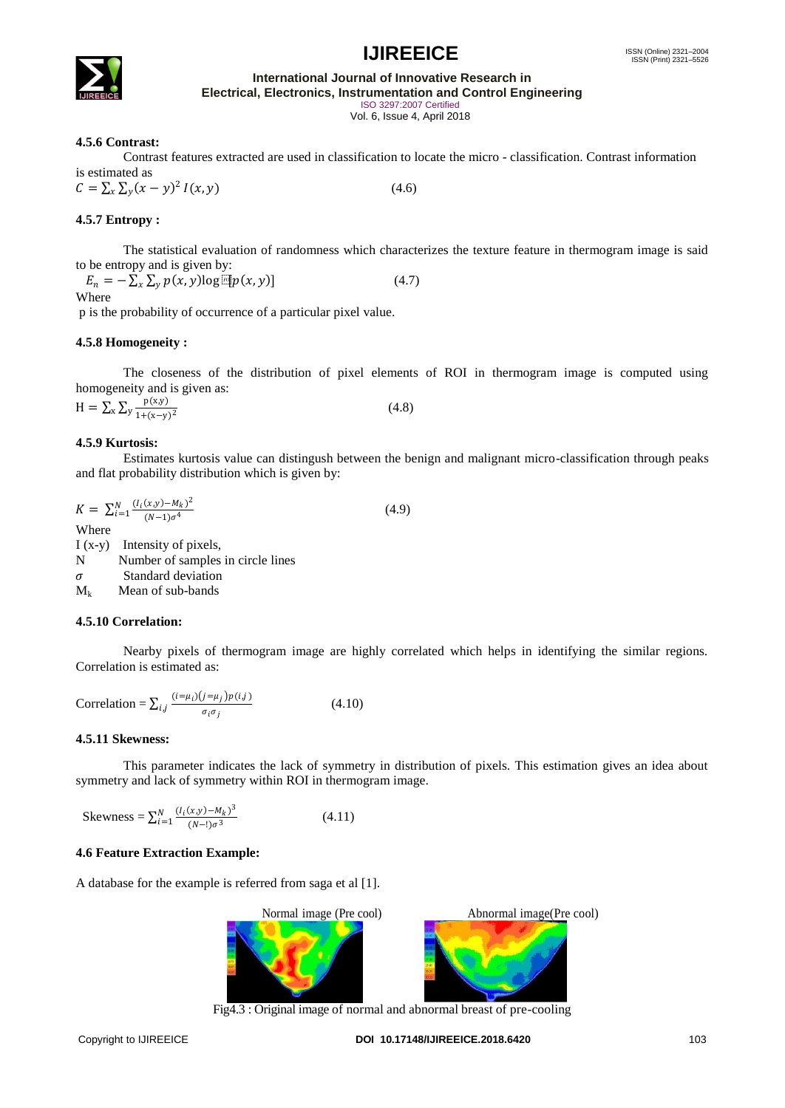

**International Journal of Innovative Research in Electrical, Electronics, Instrumentation and Control Engineering**

ISO 3297:2007 Certified

Vol. 6, Issue 4, April 2018

### **4.5.6 Contrast:**

Contrast features extracted are used in classification to locate the micro - classification. Contrast information is estimated as

$$
C = \sum_{x} \sum_{y} (x - y)^2 I(x, y) \tag{4.6}
$$

### **4.5.7 Entropy :**

The statistical evaluation of randomness which characterizes the texture feature in thermogram image is said to be entropy and is given by:

 $E_n = -\sum_{x} \sum_{y} p(x, y) \log \left[ \Phi(x, y) \right]$  $(4.7)$ Where

p is the probability of occurrence of a particular pixel value.

### **4.5.8 Homogeneity :**

The closeness of the distribution of pixel elements of ROI in thermogram image is computed using homogeneity and is given as:

 $H = \sum_{x} \sum_{y} \frac{p(x,y)}{1+(y-x)}$  $x \, \Delta y \, \frac{1 + (x - y)^2}{1 + (x - y)^2}$  $(4.8)$ 

#### **4.5.9 Kurtosis:**

Estimates kurtosis value can distingush between the benign and malignant micro-classification through peaks and flat probability distribution which is given by:

$$
K = \sum_{i=1}^{N} \frac{(I_i(x, y) - M_k)^2}{(N-1)\sigma^4}
$$
  
Where  
I (x-y) Intensity of pixels,  
N Number of samples in circle lines  
 $\sigma$  Standard deviation

 $M_k$  Mean of sub-bands

#### **4.5.10 Correlation:**

Nearby pixels of thermogram image are highly correlated which helps in identifying the similar regions. Correlation is estimated as:

Correlation = 
$$
\sum_{i,j} \frac{(i=\mu_i)(j=\mu_j)p(i,j)}{\sigma_i \sigma_j}
$$
 (4.10)

#### **4.5.11 Skewness:**

This parameter indicates the lack of symmetry in distribution of pixels. This estimation gives an idea about symmetry and lack of symmetry within ROI in thermogram image.

Skewness = 
$$
\sum_{i=1}^{N} \frac{(l_i(x,y) - M_k)^3}{(N-1)\sigma^3}
$$
 (4.11)

#### **4.6 Feature Extraction Example:**

A database for the example is referred from saga et al [1].



Fig4.3 : Original image of normal and abnormal breast of pre-cooling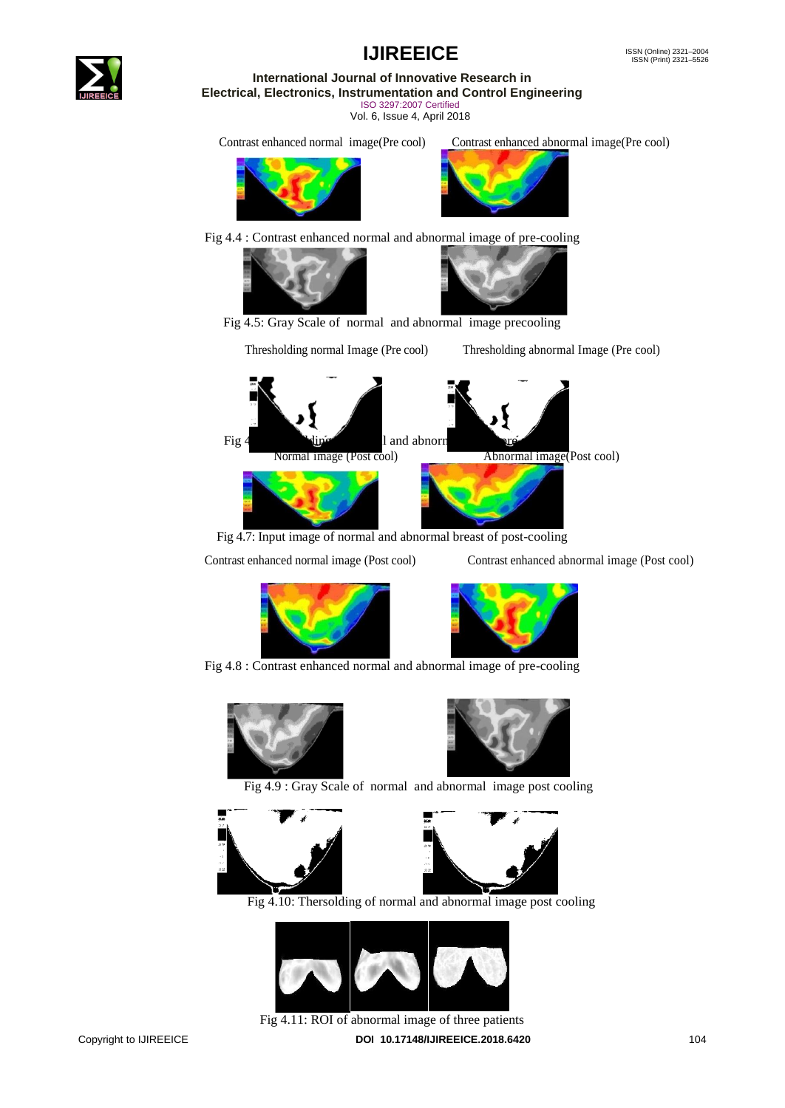

**International Journal of Innovative Research in Electrical, Electronics, Instrumentation and Control Engineering** ISO 3297:2007 Certified

Vol. 6, Issue 4, April 2018

Contrast enhanced normal image(Pre cool) Contrast enhanced abnormal image(Pre cool)





Fig 4.4 : Contrast enhanced normal and abnormal image of pre-cooling





Fig 4.5: Gray Scale of normal and abnormal image precooling

Thresholding normal Image (Pre cool) Thresholding abnormal Image (Pre cool)



Fig 4.7: Input image of normal and abnormal breast of post-cooling

Contrast enhanced normal image (Post cool) Contrast enhanced abnormal image (Post cool)





Fig 4.8 : Contrast enhanced normal and abnormal image of pre-cooling





Fig 4.9 : Gray Scale of normal and abnormal image post cooling





Fig 4.10: Thersolding of normal and abnormal image post cooling



Copyright to IJIREEICE **DOI 10.17148/IJIREEICE.2018.6420** 104 Fig 4.11: ROI of abnormal image of three patients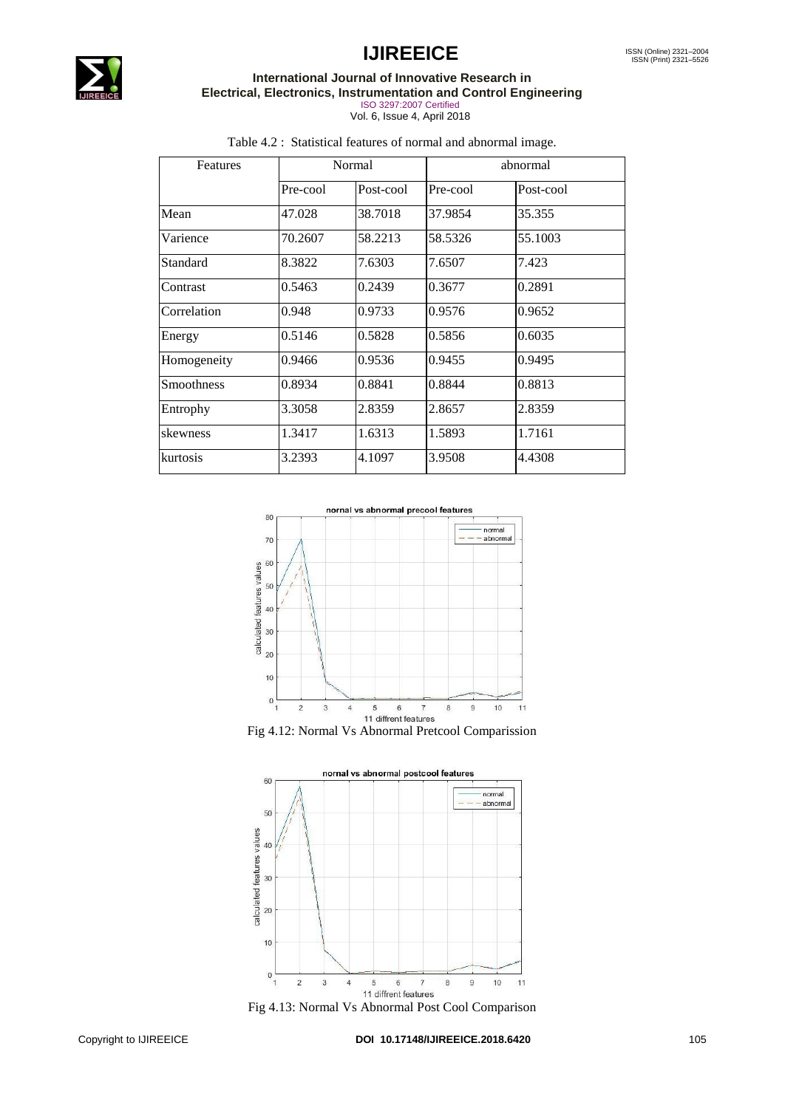

## **International Journal of Innovative Research in Electrical, Electronics, Instrumentation and Control Engineering**

ISO 3297:2007 Certified Vol. 6, Issue 4, April 2018

| <b>Features</b> | Normal   |           | abnormal |           |
|-----------------|----------|-----------|----------|-----------|
|                 | Pre-cool | Post-cool | Pre-cool | Post-cool |
| Mean            | 47.028   | 38.7018   | 37.9854  | 35.355    |
| Varience        | 70.2607  | 58.2213   | 58.5326  | 55.1003   |
| Standard        | 8.3822   | 7.6303    | 7.6507   | 7.423     |
| Contrast        | 0.5463   | 0.2439    | 0.3677   | 0.2891    |
| Correlation     | 0.948    | 0.9733    | 0.9576   | 0.9652    |
| Energy          | 0.5146   | 0.5828    | 0.5856   | 0.6035    |
| Homogeneity     | 0.9466   | 0.9536    | 0.9455   | 0.9495    |
| Smoothness      | 0.8934   | 0.8841    | 0.8844   | 0.8813    |
| Entrophy        | 3.3058   | 2.8359    | 2.8657   | 2.8359    |
| skewness        | 1.3417   | 1.6313    | 1.5893   | 1.7161    |
| kurtosis        | 3.2393   | 4.1097    | 3.9508   | 4.4308    |

# Table 4.2 : Statistical features of normal and abnormal image.





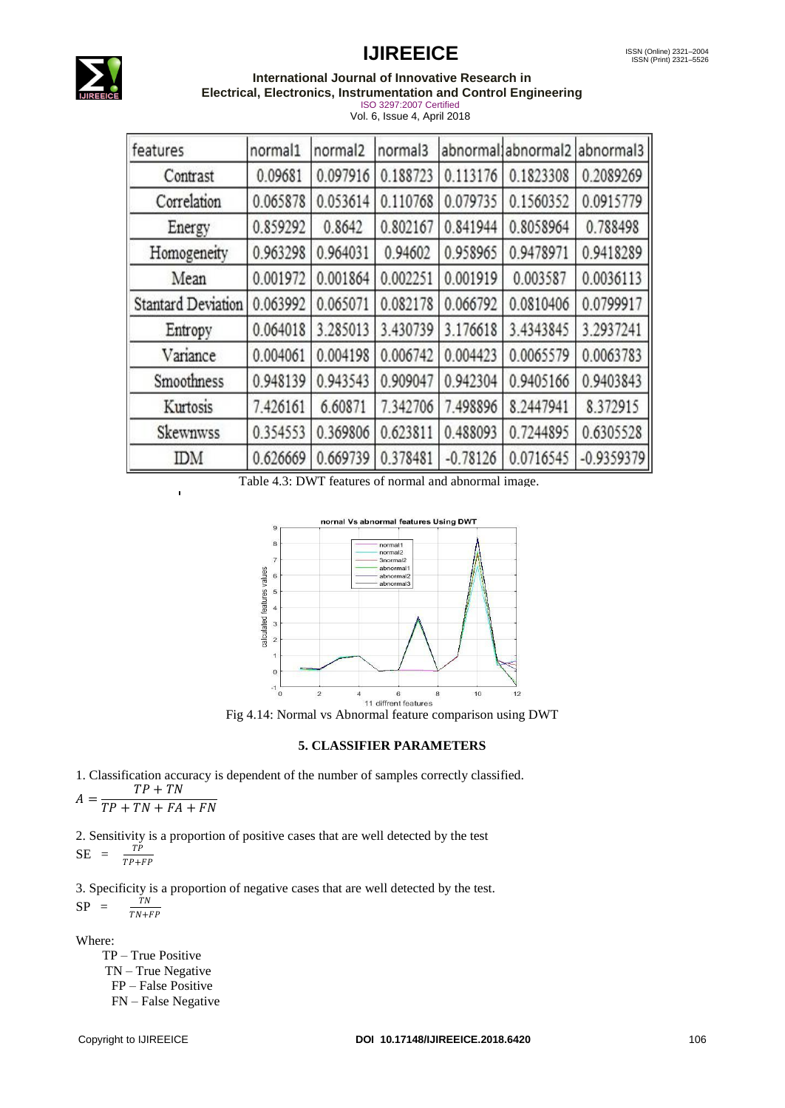

#### **International Journal of Innovative Research in Electrical, Electronics, Instrumentation and Control Engineering**

ISO 3297:2007 Certified Vol. 6, Issue 4, April 2018

| features                  | normal1  | normal <sub>2</sub> | normal3  |            | abnormal abnormal 2 abnormal 3 |              |
|---------------------------|----------|---------------------|----------|------------|--------------------------------|--------------|
| Contrast                  | 0.09681  | 0.097916            | 0.188723 | 0.113176   | 0.1823308                      | 0.2089269    |
| Correlation               | 0.065878 | 0.053614            | 0.110768 | 0.079735   | 0.1560352                      | 0.0915779    |
| Energy                    | 0.859292 | 0.8642              | 0.802167 | 0.841944   | 0.8058964                      | 0.788498     |
| Homogeneity               | 0.963298 | 0.964031            | 0.94602  | 0.958965   | 0.9478971                      | 0.9418289    |
| Mean                      | 0.001972 | 0.001864            | 0.002251 | 0.001919   | 0.003587                       | 0.0036113    |
| <b>Stantard Deviation</b> | 0.063992 | 0.065071            | 0.082178 | 0.066792   | 0.0810406                      | 0.0799917    |
| Entropy                   | 0.064018 | 3.285013            | 3.430739 | 3.176618   | 3.4343845                      | 3.2937241    |
| Variance                  | 0.004061 | 0.004198            | 0.006742 | 0.004423   | 0.0065579                      | 0.0063783    |
| Smoothness                | 0.948139 | 0.943543            | 0.909047 | 0.942304   | 0.9405166                      | 0.9403843    |
| Kurtosis                  | 7.426161 | 6.60871             | 7.342706 | 7.498896   | 8.2447941                      | 8.372915     |
| Skewnwss                  | 0.354553 | 0.369806            | 0.623811 | 0.488093   | 0.7244895                      | 0.6305528    |
| IDΜ                       | 0.626669 | 0.669739            | 0.378481 | $-0.78126$ | 0.0716545                      | $-0.9359379$ |

Table 4.3: DWT features of normal and abnormal image.



Fig 4.14: Normal vs Abnormal feature comparison using DWT

#### **5. CLASSIFIER PARAMETERS**

1. Classification accuracy is dependent of the number of samples correctly classified.  $\overline{A}$  $TP + TN$ 

$$
A = \frac{}{TP + TN + FA + FN}
$$

2. Sensitivity is a proportion of positive cases that are well detected by the test  $SE = \frac{TP}{TP+FP}$ 

3. Specificity is a proportion of negative cases that are well detected by the test.  $SP =$  $TN+FP$ 

Where:

 TP – True Positive TN – True Negative FP – False Positive FN – False Negative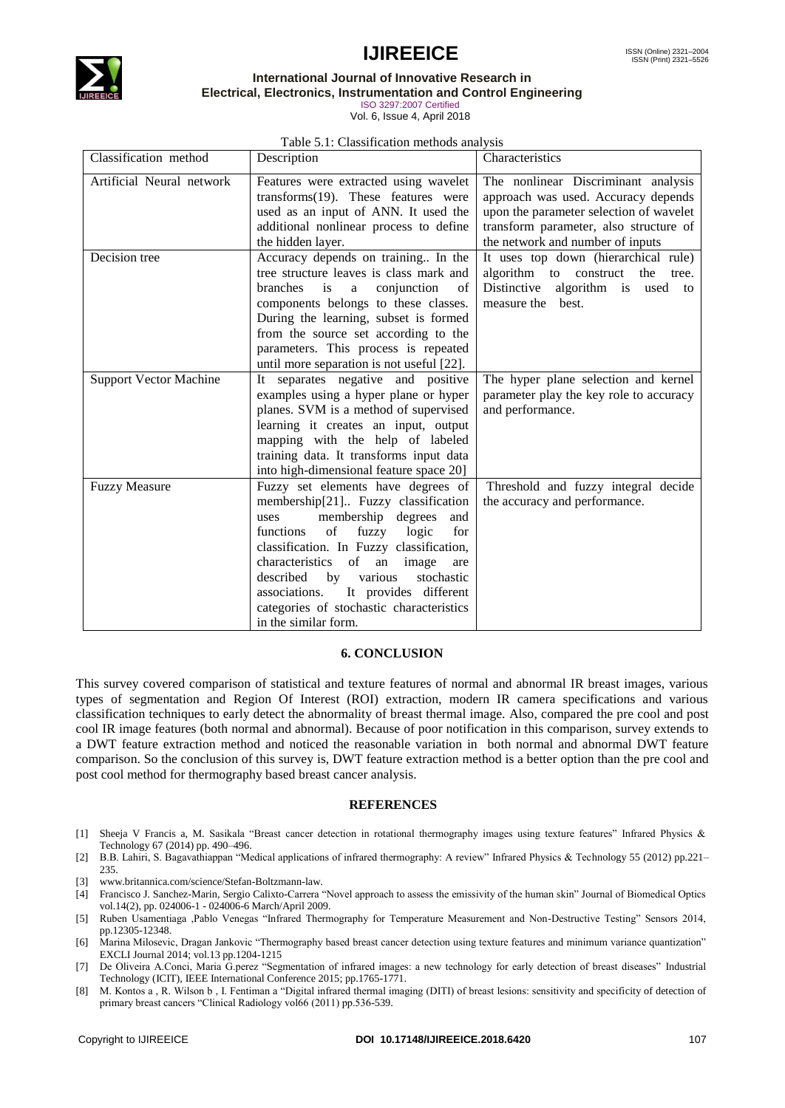



#### **International Journal of Innovative Research in Electrical, Electronics, Instrumentation and Control Engineering**

ISO 3297:2007 Certified

Vol. 6, Issue 4, April 2018

#### Table 5.1: Classification methods analysis

| Classification method         | Description                                                                                                                                                                                                                                                                                                                                                                                            | Characteristics                                                                                                                                                                                     |
|-------------------------------|--------------------------------------------------------------------------------------------------------------------------------------------------------------------------------------------------------------------------------------------------------------------------------------------------------------------------------------------------------------------------------------------------------|-----------------------------------------------------------------------------------------------------------------------------------------------------------------------------------------------------|
| Artificial Neural network     | Features were extracted using wavelet<br>transforms $(19)$ . These features were<br>used as an input of ANN. It used the<br>additional nonlinear process to define<br>the hidden layer.                                                                                                                                                                                                                | The nonlinear Discriminant analysis<br>approach was used. Accuracy depends<br>upon the parameter selection of wavelet<br>transform parameter, also structure of<br>the network and number of inputs |
| Decision tree                 | Accuracy depends on training In the<br>tree structure leaves is class mark and<br>branches<br>conjunction<br>$\sigma$ f<br>is<br>a<br>components belongs to these classes.<br>During the learning, subset is formed<br>from the source set according to the<br>parameters. This process is repeated<br>until more separation is not useful [22].                                                       | It uses top down (hierarchical rule)<br>algorithm to construct<br>the<br>tree.<br>Distinctive algorithm is used to<br>measure the best.                                                             |
| <b>Support Vector Machine</b> | It separates negative and positive<br>examples using a hyper plane or hyper<br>planes. SVM is a method of supervised<br>learning it creates an input, output<br>mapping with the help of labeled<br>training data. It transforms input data<br>into high-dimensional feature space 20]                                                                                                                 | The hyper plane selection and kernel<br>parameter play the key role to accuracy<br>and performance.                                                                                                 |
| <b>Fuzzy Measure</b>          | Fuzzy set elements have degrees of<br>membership[21] Fuzzy classification<br>membership degrees<br>and<br>uses<br>of<br>fuzzy<br>functions<br>logic<br>for<br>classification. In Fuzzy classification,<br>characteristics of<br>an<br>image<br>are<br>described<br>by various<br>stochastic<br>associations. It provides different<br>categories of stochastic characteristics<br>in the similar form. | Threshold and fuzzy integral decide<br>the accuracy and performance.                                                                                                                                |

#### **6. CONCLUSION**

This survey covered comparison of statistical and texture features of normal and abnormal IR breast images, various types of segmentation and Region Of Interest (ROI) extraction, modern IR camera specifications and various classification techniques to early detect the abnormality of breast thermal image. Also, compared the pre cool and post cool IR image features (both normal and abnormal). Because of poor notification in this comparison, survey extends to a DWT feature extraction method and noticed the reasonable variation in both normal and abnormal DWT feature comparison. So the conclusion of this survey is, DWT feature extraction method is a better option than the pre cool and post cool method for thermography based breast cancer analysis.

#### **REFERENCES**

- [1] Sheeja V Francis a, M. Sasikala "Breast cancer detection in rotational thermography images using texture features" Infrared Physics & Technology 67 (2014) pp. 490–496.
- [2] B.B. Lahiri, S. Bagavathiappan "Medical applications of infrared thermography: A review" Infrared Physics & Technology 55 (2012) pp.221– 235.
- [3] www.britannica.com/science/Stefan-Boltzmann-law.
- [4] Francisco J. Sanchez-Marin, Sergio Calixto-Carrera "Novel approach to assess the emissivity of the human skin" Journal of Biomedical Optics vol.14(2), pp. 024006-1 - 024006-6 March/April 2009.
- [5] Ruben Usamentiaga ,Pablo Venegas "Infrared Thermography for Temperature Measurement and Non-Destructive Testing" Sensors 2014, pp.12305-12348.
- [6] Marina Milosevic, Dragan Jankovic "Thermography based breast cancer detection using texture features and minimum variance quantization" EXCLI Journal 2014; vol.13 pp.1204-1215
- [7] De Oliveira A.Conci, Maria G.perez "Segmentation of infrared images: a new technology for early detection of breast diseases" [Industrial](http://ieeexplore.ieee.org/xpl/mostRecentIssue.jsp?punumber=7108493)  [Technology \(ICIT\), IEEE International Conference 2015;](http://ieeexplore.ieee.org/xpl/mostRecentIssue.jsp?punumber=7108493) pp.1765-1771.
- [8] M. Kontos a , R. Wilson b , I. Fentiman a "Digital infrared thermal imaging (DITI) of breast lesions: sensitivity and specificity of detection of primary breast cancers "Clinical Radiology vol66 (2011) pp.536-539.